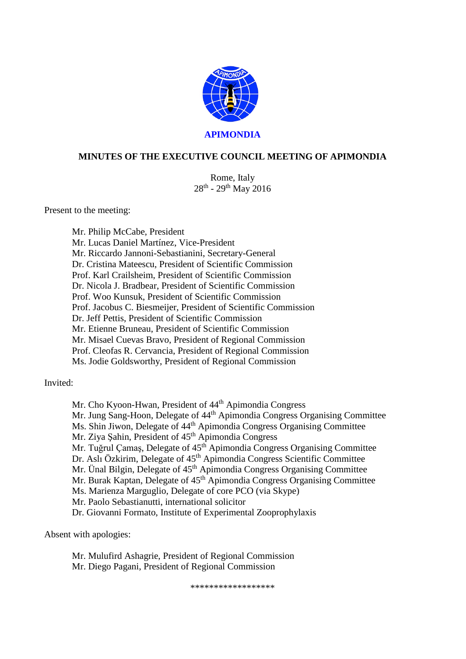

# **MINUTES OF THE EXECUTIVE COUNCIL MEETING OF APIMONDIA**

Rome, Italy 28th - 29th May 2016

Present to the meeting:

Mr. Philip McCabe, President Mr. Lucas Daniel Martínez, Vice-President Mr. Riccardo Jannoni-Sebastianini, Secretary-General Dr. Cristina Mateescu, President of Scientific Commission Prof. Karl Crailsheim, President of Scientific Commission Dr. Nicola J. Bradbear, President of Scientific Commission Prof. Woo Kunsuk, President of Scientific Commission Prof. Jacobus C. Biesmeijer, President of Scientific Commission Dr. Jeff Pettis, President of Scientific Commission Mr. Etienne Bruneau, President of Scientific Commission Mr. Misael Cuevas Bravo, President of Regional Commission Prof. Cleofas R. Cervancia, President of Regional Commission Ms. Jodie Goldsworthy, President of Regional Commission

Invited:

Mr. Cho Kyoon-Hwan, President of 44<sup>th</sup> Apimondia Congress Mr. Jung Sang-Hoon, Delegate of 44<sup>th</sup> Apimondia Congress Organising Committee Ms. Shin Jiwon, Delegate of 44<sup>th</sup> Apimondia Congress Organising Committee Mr. Ziya Şahin, President of 45<sup>th</sup> Apimondia Congress Mr. Tuğrul Çamaş, Delegate of 45<sup>th</sup> Apimondia Congress Organising Committee Dr. Aslı Özkirim, Delegate of 45<sup>th</sup> Apimondia Congress Scientific Committee Mr. Ünal Bilgin, Delegate of 45<sup>th</sup> Apimondia Congress Organising Committee Mr. Burak Kaptan, Delegate of 45<sup>th</sup> Apimondia Congress Organising Committee Ms. Marienza Marguglio, Delegate of core PCO (via Skype) Mr. Paolo Sebastianutti, international solicitor Dr. Giovanni Formato, Institute of Experimental Zooprophylaxis

Absent with apologies:

Mr. Mulufird Ashagrie, President of Regional Commission Mr. Diego Pagani, President of Regional Commission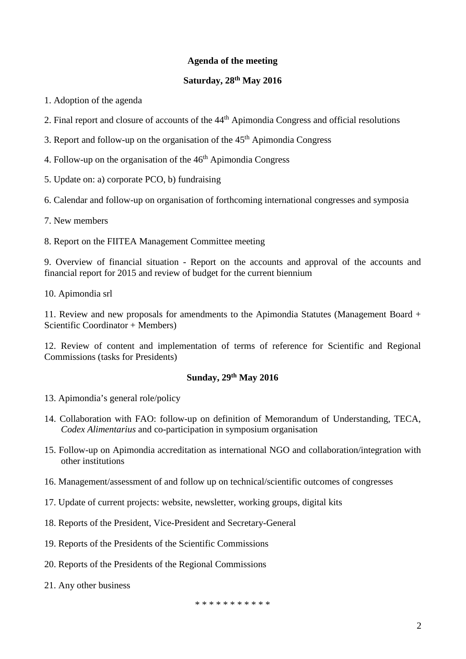### **Agenda of the meeting**

#### **Saturday, 28th May 2016**

1. Adoption of the agenda

- 2. Final report and closure of accounts of the 44<sup>th</sup> Apimondia Congress and official resolutions
- 3. Report and follow-up on the organisation of the  $45<sup>th</sup>$  Apimondia Congress
- 4. Follow-up on the organisation of the  $46<sup>th</sup>$  Apimondia Congress
- 5. Update on: a) corporate PCO, b) fundraising

6. Calendar and follow-up on organisation of forthcoming international congresses and symposia

- 7. New members
- 8. Report on the FIITEA Management Committee meeting

9. Overview of financial situation - Report on the accounts and approval of the accounts and financial report for 2015 and review of budget for the current biennium

10. Apimondia srl

11. Review and new proposals for amendments to the Apimondia Statutes (Management Board + Scientific Coordinator + Members)

12. Review of content and implementation of terms of reference for Scientific and Regional Commissions (tasks for Presidents)

# **Sunday, 29th May 2016**

- 13. Apimondia's general role/policy
- 14. Collaboration with FAO: follow-up on definition of Memorandum of Understanding, TECA, *Codex Alimentarius* and co-participation in symposium organisation
- 15. Follow-up on Apimondia accreditation as international NGO and collaboration/integration with other institutions
- 16. Management/assessment of and follow up on technical/scientific outcomes of congresses
- 17. Update of current projects: website, newsletter, working groups, digital kits
- 18. Reports of the President, Vice-President and Secretary-General
- 19. Reports of the Presidents of the Scientific Commissions
- 20. Reports of the Presidents of the Regional Commissions
- 21. Any other business

\* \* \* \* \* \* \* \* \* \* \*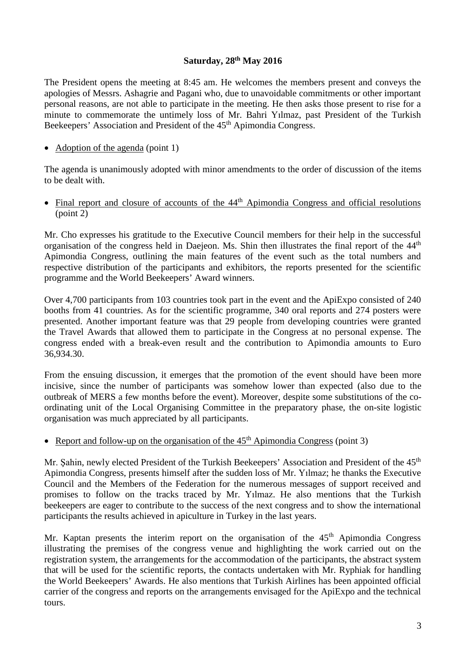### **Saturday, 28th May 2016**

The President opens the meeting at 8:45 am. He welcomes the members present and conveys the apologies of Messrs. Ashagrie and Pagani who, due to unavoidable commitments or other important personal reasons, are not able to participate in the meeting. He then asks those present to rise for a minute to commemorate the untimely loss of Mr. Bahri Yılmaz, past President of the Turkish Beekeepers' Association and President of the 45<sup>th</sup> Apimondia Congress.

• Adoption of the agenda (point 1)

The agenda is unanimously adopted with minor amendments to the order of discussion of the items to be dealt with.

• Final report and closure of accounts of the 44<sup>th</sup> Apimondia Congress and official resolutions (point 2)

Mr. Cho expresses his gratitude to the Executive Council members for their help in the successful organisation of the congress held in Daejeon. Ms. Shin then illustrates the final report of the 44th Apimondia Congress, outlining the main features of the event such as the total numbers and respective distribution of the participants and exhibitors, the reports presented for the scientific programme and the World Beekeepers' Award winners.

Over 4,700 participants from 103 countries took part in the event and the ApiExpo consisted of 240 booths from 41 countries. As for the scientific programme, 340 oral reports and 274 posters were presented. Another important feature was that 29 people from developing countries were granted the Travel Awards that allowed them to participate in the Congress at no personal expense. The congress ended with a break-even result and the contribution to Apimondia amounts to Euro 36,934.30.

From the ensuing discussion, it emerges that the promotion of the event should have been more incisive, since the number of participants was somehow lower than expected (also due to the outbreak of MERS a few months before the event). Moreover, despite some substitutions of the coordinating unit of the Local Organising Committee in the preparatory phase, the on-site logistic organisation was much appreciated by all participants.

• Report and follow-up on the organisation of the  $45<sup>th</sup>$  Apimondia Congress (point 3)

Mr. Sahin, newly elected President of the Turkish Beekeepers' Association and President of the 45<sup>th</sup> Apimondia Congress, presents himself after the sudden loss of Mr. Yılmaz; he thanks the Executive Council and the Members of the Federation for the numerous messages of support received and promises to follow on the tracks traced by Mr. Yılmaz. He also mentions that the Turkish beekeepers are eager to contribute to the success of the next congress and to show the international participants the results achieved in apiculture in Turkey in the last years.

Mr. Kaptan presents the interim report on the organisation of the  $45<sup>th</sup>$  Apimondia Congress illustrating the premises of the congress venue and highlighting the work carried out on the registration system, the arrangements for the accommodation of the participants, the abstract system that will be used for the scientific reports, the contacts undertaken with Mr. Ryphiak for handling the World Beekeepers' Awards. He also mentions that Turkish Airlines has been appointed official carrier of the congress and reports on the arrangements envisaged for the ApiExpo and the technical tours.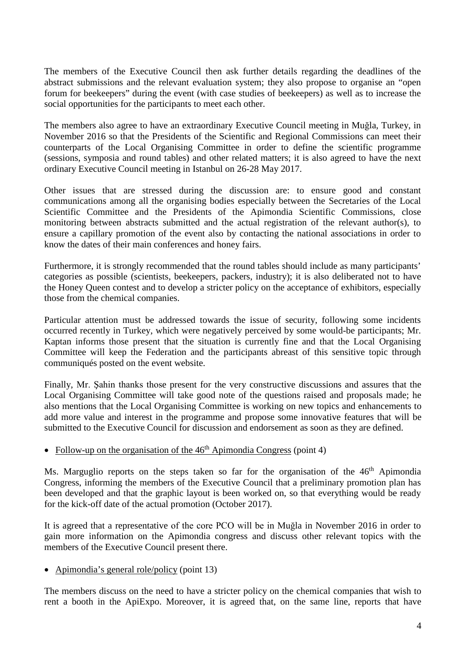The members of the Executive Council then ask further details regarding the deadlines of the abstract submissions and the relevant evaluation system; they also propose to organise an "open forum for beekeepers" during the event (with case studies of beekeepers) as well as to increase the social opportunities for the participants to meet each other.

The members also agree to have an extraordinary Executive Council meeting in Muğla, Turkey, in November 2016 so that the Presidents of the Scientific and Regional Commissions can meet their counterparts of the Local Organising Committee in order to define the scientific programme (sessions, symposia and round tables) and other related matters; it is also agreed to have the next ordinary Executive Council meeting in Istanbul on 26-28 May 2017.

Other issues that are stressed during the discussion are: to ensure good and constant communications among all the organising bodies especially between the Secretaries of the Local Scientific Committee and the Presidents of the Apimondia Scientific Commissions, close monitoring between abstracts submitted and the actual registration of the relevant author(s), to ensure a capillary promotion of the event also by contacting the national associations in order to know the dates of their main conferences and honey fairs.

Furthermore, it is strongly recommended that the round tables should include as many participants' categories as possible (scientists, beekeepers, packers, industry); it is also deliberated not to have the Honey Queen contest and to develop a stricter policy on the acceptance of exhibitors, especially those from the chemical companies.

Particular attention must be addressed towards the issue of security, following some incidents occurred recently in Turkey, which were negatively perceived by some would-be participants; Mr. Kaptan informs those present that the situation is currently fine and that the Local Organising Committee will keep the Federation and the participants abreast of this sensitive topic through communiqués posted on the event website.

Finally, Mr. Şahin thanks those present for the very constructive discussions and assures that the Local Organising Committee will take good note of the questions raised and proposals made; he also mentions that the Local Organising Committee is working on new topics and enhancements to add more value and interest in the programme and propose some innovative features that will be submitted to the Executive Council for discussion and endorsement as soon as they are defined.

### • Follow-up on the organisation of the  $46<sup>th</sup>$  Apimondia Congress (point 4)

Ms. Marguglio reports on the steps taken so far for the organisation of the  $46<sup>th</sup>$  Apimondia Congress, informing the members of the Executive Council that a preliminary promotion plan has been developed and that the graphic layout is been worked on, so that everything would be ready for the kick-off date of the actual promotion (October 2017).

It is agreed that a representative of the core PCO will be in Muğla in November 2016 in order to gain more information on the Apimondia congress and discuss other relevant topics with the members of the Executive Council present there.

• Apimondia's general role/policy (point 13)

The members discuss on the need to have a stricter policy on the chemical companies that wish to rent a booth in the ApiExpo. Moreover, it is agreed that, on the same line, reports that have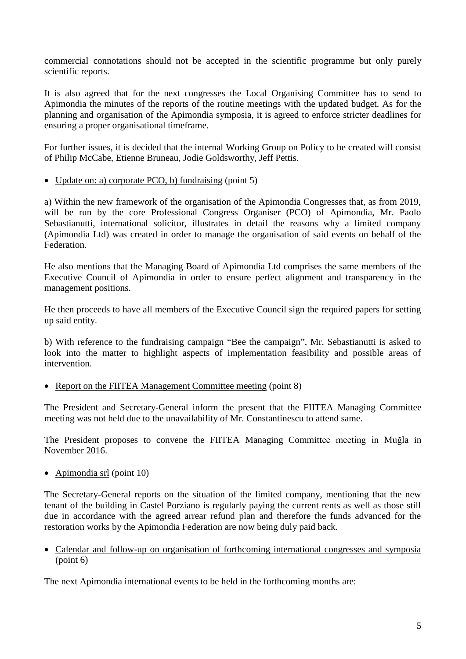commercial connotations should not be accepted in the scientific programme but only purely scientific reports.

It is also agreed that for the next congresses the Local Organising Committee has to send to Apimondia the minutes of the reports of the routine meetings with the updated budget. As for the planning and organisation of the Apimondia symposia, it is agreed to enforce stricter deadlines for ensuring a proper organisational timeframe.

For further issues, it is decided that the internal Working Group on Policy to be created will consist of Philip McCabe, Etienne Bruneau, Jodie Goldsworthy, Jeff Pettis.

• Update on: a) corporate PCO, b) fundraising (point 5)

a) Within the new framework of the organisation of the Apimondia Congresses that, as from 2019, will be run by the core Professional Congress Organiser (PCO) of Apimondia, Mr. Paolo Sebastianutti, international solicitor, illustrates in detail the reasons why a limited company (Apimondia Ltd) was created in order to manage the organisation of said events on behalf of the Federation.

He also mentions that the Managing Board of Apimondia Ltd comprises the same members of the Executive Council of Apimondia in order to ensure perfect alignment and transparency in the management positions.

He then proceeds to have all members of the Executive Council sign the required papers for setting up said entity.

b) With reference to the fundraising campaign "Bee the campaign", Mr. Sebastianutti is asked to look into the matter to highlight aspects of implementation feasibility and possible areas of intervention.

• Report on the FIITEA Management Committee meeting (point 8)

The President and Secretary-General inform the present that the FIITEA Managing Committee meeting was not held due to the unavailability of Mr. Constantinescu to attend same.

The President proposes to convene the FIITEA Managing Committee meeting in Muğla in November 2016.

• Apimondia srl (point 10)

The Secretary-General reports on the situation of the limited company, mentioning that the new tenant of the building in Castel Porziano is regularly paying the current rents as well as those still due in accordance with the agreed arrear refund plan and therefore the funds advanced for the restoration works by the Apimondia Federation are now being duly paid back.

• Calendar and follow-up on organisation of forthcoming international congresses and symposia (point 6)

The next Apimondia international events to be held in the forthcoming months are: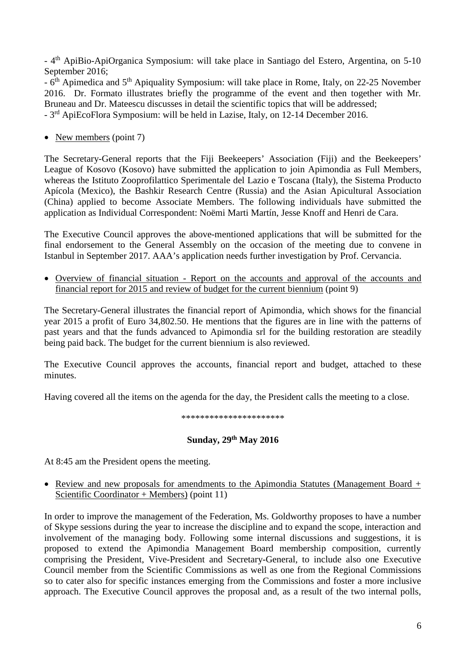- 4th ApiBio-ApiOrganica Symposium: will take place in Santiago del Estero, Argentina, on 5-10 September 2016;

- 6th Apimedica and 5th Apiquality Symposium: will take place in Rome, Italy, on 22-25 November 2016. Dr. Formato illustrates briefly the programme of the event and then together with Mr. Bruneau and Dr. Mateescu discusses in detail the scientific topics that will be addressed;

- 3rd ApiEcoFlora Symposium: will be held in Lazise, Italy, on 12-14 December 2016.

• New members (point 7)

The Secretary-General reports that the Fiji Beekeepers' Association (Fiji) and the Beekeepers' League of Kosovo (Kosovo) have submitted the application to join Apimondia as Full Members, whereas the Istituto Zooprofilattico Sperimentale del Lazio e Toscana (Italy), the Sistema Producto Apícola (Mexico), the Bashkir Research Centre (Russia) and the Asian Apicultural Association (China) applied to become Associate Members. The following individuals have submitted the application as Individual Correspondent: Noëmi Marti Martín, Jesse Knoff and Henri de Cara.

The Executive Council approves the above-mentioned applications that will be submitted for the final endorsement to the General Assembly on the occasion of the meeting due to convene in Istanbul in September 2017. AAA's application needs further investigation by Prof. Cervancia.

• Overview of financial situation - Report on the accounts and approval of the accounts and financial report for 2015 and review of budget for the current biennium (point 9)

The Secretary-General illustrates the financial report of Apimondia, which shows for the financial year 2015 a profit of Euro 34,802.50. He mentions that the figures are in line with the patterns of past years and that the funds advanced to Apimondia srl for the building restoration are steadily being paid back. The budget for the current biennium is also reviewed.

The Executive Council approves the accounts, financial report and budget, attached to these minutes.

Having covered all the items on the agenda for the day, the President calls the meeting to a close.

\*\*\*\*\*\*\*\*\*\*\*\*\*\*\*\*\*\*\*\*\*\*

# **Sunday, 29th May 2016**

At 8:45 am the President opens the meeting.

• Review and new proposals for amendments to the Apimondia Statutes (Management Board + Scientific Coordinator + Members) (point 11)

In order to improve the management of the Federation, Ms. Goldworthy proposes to have a number of Skype sessions during the year to increase the discipline and to expand the scope, interaction and involvement of the managing body. Following some internal discussions and suggestions, it is proposed to extend the Apimondia Management Board membership composition, currently comprising the President, Vive-President and Secretary-General, to include also one Executive Council member from the Scientific Commissions as well as one from the Regional Commissions so to cater also for specific instances emerging from the Commissions and foster a more inclusive approach. The Executive Council approves the proposal and, as a result of the two internal polls,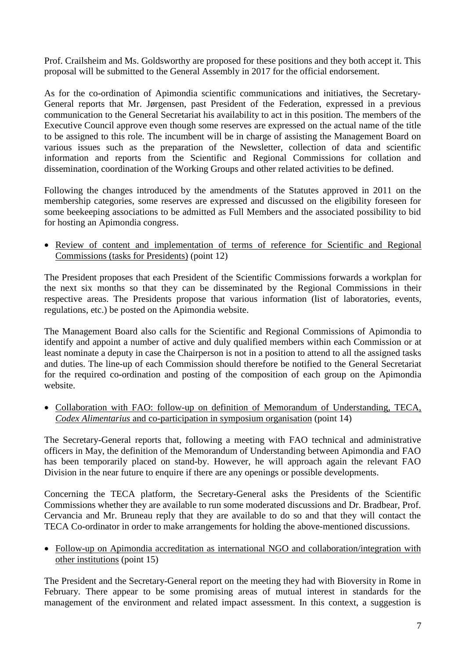Prof. Crailsheim and Ms. Goldsworthy are proposed for these positions and they both accept it. This proposal will be submitted to the General Assembly in 2017 for the official endorsement.

As for the co-ordination of Apimondia scientific communications and initiatives, the Secretary-General reports that Mr. Jørgensen, past President of the Federation, expressed in a previous communication to the General Secretariat his availability to act in this position. The members of the Executive Council approve even though some reserves are expressed on the actual name of the title to be assigned to this role. The incumbent will be in charge of assisting the Management Board on various issues such as the preparation of the Newsletter, collection of data and scientific information and reports from the Scientific and Regional Commissions for collation and dissemination, coordination of the Working Groups and other related activities to be defined.

Following the changes introduced by the amendments of the Statutes approved in 2011 on the membership categories, some reserves are expressed and discussed on the eligibility foreseen for some beekeeping associations to be admitted as Full Members and the associated possibility to bid for hosting an Apimondia congress.

• Review of content and implementation of terms of reference for Scientific and Regional Commissions (tasks for Presidents) (point 12)

The President proposes that each President of the Scientific Commissions forwards a workplan for the next six months so that they can be disseminated by the Regional Commissions in their respective areas. The Presidents propose that various information (list of laboratories, events, regulations, etc.) be posted on the Apimondia website.

The Management Board also calls for the Scientific and Regional Commissions of Apimondia to identify and appoint a number of active and duly qualified members within each Commission or at least nominate a deputy in case the Chairperson is not in a position to attend to all the assigned tasks and duties. The line-up of each Commission should therefore be notified to the General Secretariat for the required co-ordination and posting of the composition of each group on the Apimondia website.

• Collaboration with FAO: follow-up on definition of Memorandum of Understanding, TECA, *Codex Alimentarius* and co-participation in symposium organisation (point 14)

The Secretary-General reports that, following a meeting with FAO technical and administrative officers in May, the definition of the Memorandum of Understanding between Apimondia and FAO has been temporarily placed on stand-by. However, he will approach again the relevant FAO Division in the near future to enquire if there are any openings or possible developments.

Concerning the TECA platform, the Secretary-General asks the Presidents of the Scientific Commissions whether they are available to run some moderated discussions and Dr. Bradbear, Prof. Cervancia and Mr. Bruneau reply that they are available to do so and that they will contact the TECA Co-ordinator in order to make arrangements for holding the above-mentioned discussions.

• Follow-up on Apimondia accreditation as international NGO and collaboration/integration with other institutions (point 15)

The President and the Secretary-General report on the meeting they had with Bioversity in Rome in February. There appear to be some promising areas of mutual interest in standards for the management of the environment and related impact assessment. In this context, a suggestion is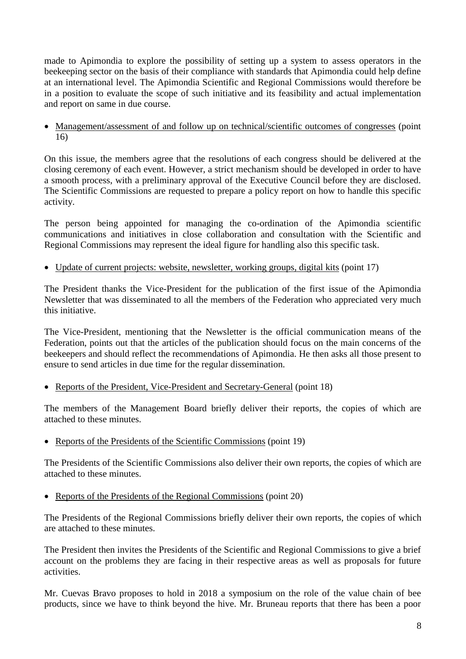made to Apimondia to explore the possibility of setting up a system to assess operators in the beekeeping sector on the basis of their compliance with standards that Apimondia could help define at an international level. The Apimondia Scientific and Regional Commissions would therefore be in a position to evaluate the scope of such initiative and its feasibility and actual implementation and report on same in due course.

• Management/assessment of and follow up on technical/scientific outcomes of congresses (point 16)

On this issue, the members agree that the resolutions of each congress should be delivered at the closing ceremony of each event. However, a strict mechanism should be developed in order to have a smooth process, with a preliminary approval of the Executive Council before they are disclosed. The Scientific Commissions are requested to prepare a policy report on how to handle this specific activity.

The person being appointed for managing the co-ordination of the Apimondia scientific communications and initiatives in close collaboration and consultation with the Scientific and Regional Commissions may represent the ideal figure for handling also this specific task.

• Update of current projects: website, newsletter, working groups, digital kits (point 17)

The President thanks the Vice-President for the publication of the first issue of the Apimondia Newsletter that was disseminated to all the members of the Federation who appreciated very much this initiative.

The Vice-President, mentioning that the Newsletter is the official communication means of the Federation, points out that the articles of the publication should focus on the main concerns of the beekeepers and should reflect the recommendations of Apimondia. He then asks all those present to ensure to send articles in due time for the regular dissemination.

• Reports of the President, Vice-President and Secretary-General (point 18)

The members of the Management Board briefly deliver their reports, the copies of which are attached to these minutes.

• Reports of the Presidents of the Scientific Commissions (point 19)

The Presidents of the Scientific Commissions also deliver their own reports, the copies of which are attached to these minutes.

• Reports of the Presidents of the Regional Commissions (point 20)

The Presidents of the Regional Commissions briefly deliver their own reports, the copies of which are attached to these minutes.

The President then invites the Presidents of the Scientific and Regional Commissions to give a brief account on the problems they are facing in their respective areas as well as proposals for future activities.

Mr. Cuevas Bravo proposes to hold in 2018 a symposium on the role of the value chain of bee products, since we have to think beyond the hive. Mr. Bruneau reports that there has been a poor